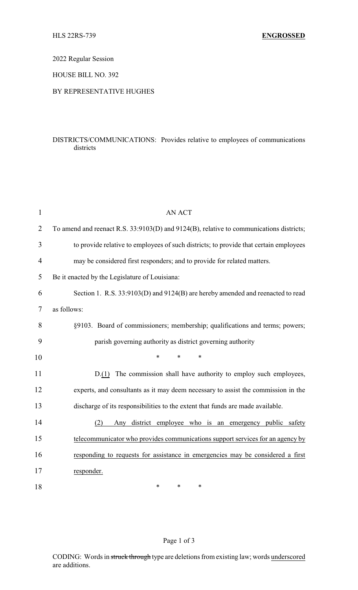2022 Regular Session

HOUSE BILL NO. 392

## BY REPRESENTATIVE HUGHES

## DISTRICTS/COMMUNICATIONS: Provides relative to employees of communications districts

| $\mathbf{1}$   | <b>AN ACT</b>                                                                           |
|----------------|-----------------------------------------------------------------------------------------|
| $\overline{2}$ | To amend and reenact R.S. 33:9103(D) and 9124(B), relative to communications districts; |
| 3              | to provide relative to employees of such districts; to provide that certain employees   |
| 4              | may be considered first responders; and to provide for related matters.                 |
| 5              | Be it enacted by the Legislature of Louisiana:                                          |
| 6              | Section 1. R.S. 33:9103(D) and 9124(B) are hereby amended and reenacted to read         |
| 7              | as follows:                                                                             |
| 8              | §9103. Board of commissioners; membership; qualifications and terms; powers;            |
| 9              | parish governing authority as district governing authority                              |
| 10             | $\ast$<br>$\ast$<br>$\ast$                                                              |
| 11             | D.(1) The commission shall have authority to employ such employees,                     |
| 12             | experts, and consultants as it may deem necessary to assist the commission in the       |
| 13             | discharge of its responsibilities to the extent that funds are made available.          |
| 14             | Any district employee who is an emergency public safety<br>(2)                          |
| 15             | telecommunicator who provides communications support services for an agency by          |
| 16             | responding to requests for assistance in emergencies may be considered a first          |
| 17             | responder.                                                                              |
| 18             | *<br>*<br>*                                                                             |

## Page 1 of 3

CODING: Words in struck through type are deletions from existing law; words underscored are additions.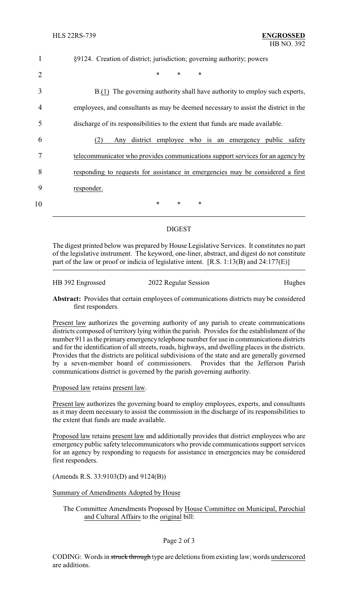|                | §9124. Creation of district; jurisdiction; governing authority; powers              |
|----------------|-------------------------------------------------------------------------------------|
| $\overline{2}$ | $\ast$<br>$\ast$<br>*                                                               |
| 3              | B.(1) The governing authority shall have authority to employ such experts,          |
| 4              | employees, and consultants as may be deemed necessary to assist the district in the |
| 5              | discharge of its responsibilities to the extent that funds are made available.      |
| 6              | district employee who is an emergency public safety<br>(2)<br>Any                   |
| 7              | telecommunicator who provides communications support services for an agency by      |
| 8              | responding to requests for assistance in emergencies may be considered a first      |
| 9              | responder.                                                                          |
| 10             | $\ast$<br>$\ast$<br>$\ast$                                                          |

## DIGEST

The digest printed below was prepared by House Legislative Services. It constitutes no part of the legislative instrument. The keyword, one-liner, abstract, and digest do not constitute part of the law or proof or indicia of legislative intent. [R.S. 1:13(B) and 24:177(E)]

HB 392 Engrossed 2022 Regular Session Hughes

**Abstract:** Provides that certain employees of communications districts may be considered first responders.

Present law authorizes the governing authority of any parish to create communications districts composed of territory lying within the parish. Provides for the establishment of the number 911 as the primary emergency telephone number for use in communications districts and for the identification of all streets, roads, highways, and dwelling places in the districts. Provides that the districts are political subdivisions of the state and are generally governed by a seven-member board of commissioners. Provides that the Jefferson Parish communications district is governed by the parish governing authority.

Proposed law retains present law.

Present law authorizes the governing board to employ employees, experts, and consultants as it may deem necessary to assist the commission in the discharge of its responsibilities to the extent that funds are made available.

Proposed law retains present law and additionally provides that district employees who are emergency public safety telecommunicators who provide communications support services for an agency by responding to requests for assistance in emergencies may be considered first responders.

(Amends R.S. 33:9103(D) and 9124(B))

Summary of Amendments Adopted by House

The Committee Amendments Proposed by House Committee on Municipal, Parochial and Cultural Affairs to the original bill: